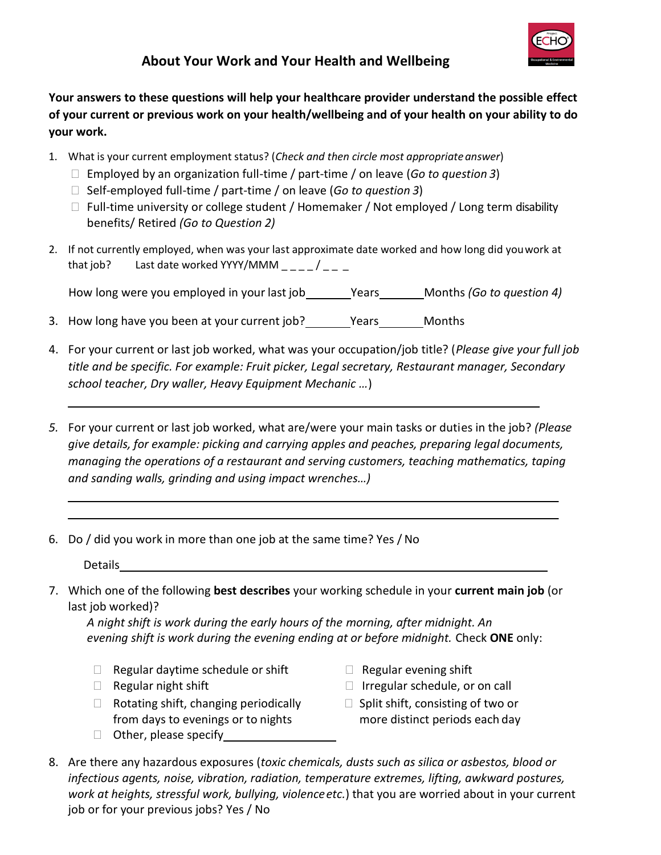

## **About Your Work and Your Health and Wellbeing**

**Your answers to these questions will help your healthcare provider understand the possible effect of your current or previous work on your health/wellbeing and of your health on your ability to do your work.**

- 1. What is your current employment status? (*Check and then circle most appropriateanswer*)
	- Employed by an organization full-time / part-time / on leave (*Go to question 3*)
	- □ Self-employed full-time / part-time / on leave (*Go to question 3*)
	- $\Box$  Full-time university or college student / Homemaker / Not employed / Long term disability benefits/ Retired *(Go to Question 2)*
- 2. If not currently employed, when was your last approximate date worked and how long did youwork at that job? Last date worked YYYY/MMM  $\frac{1}{2}$   $\frac{1}{2}$   $\frac{1}{2}$   $\frac{1}{2}$   $\frac{1}{2}$

How long were you employed in your last job Years Months *(Go to question 4)*

- 3. How long have you been at your current job? \_\_\_\_\_\_\_Years\_\_\_\_\_\_\_Months
- 4. For your current or last job worked, what was your occupation/job title? (*Please give your full job title and be specific. For example: Fruit picker, Legal secretary, Restaurant manager, Secondary school teacher, Dry waller, Heavy Equipment Mechanic …*)
- *5.* For your current or last job worked, what are/were your main tasks or duties in the job? *(Please give details, for example: picking and carrying apples and peaches, preparing legal documents, managing the operations of a restaurant and serving customers, teaching mathematics, taping and sanding walls, grinding and using impact wrenches…)*
- 6. Do / did you work in more than one job at the same time? Yes / No

**Details** 

7. Which one of the following **best describes** your working schedule in your **current main job** (or last job worked)?

*A night shift is work during the early hours of the morning, after midnight. An evening shift is work during the evening ending at or before midnight.* Check **ONE** only:

- $\Box$  Regular daytime schedule or shift  $\Box$  Regular evening shift
- 
- $\Box$  Rotating shift, changing periodically from days to evenings or to nights
- □ Other, please specify <u>contained and</u>
- 
- $\Box$  Regular night shift  $\Box$  Irregular schedule, or on call
	- $\Box$  Split shift, consisting of two or more distinct periods each day
- 8. Are there any hazardous exposures (*toxic chemicals, dusts such as silica or asbestos, blood or infectious agents, noise, vibration, radiation, temperature extremes, lifting, awkward postures, work at heights, stressful work, bullying, violenceetc.*) that you are worried about in your current job or for your previous jobs? Yes / No